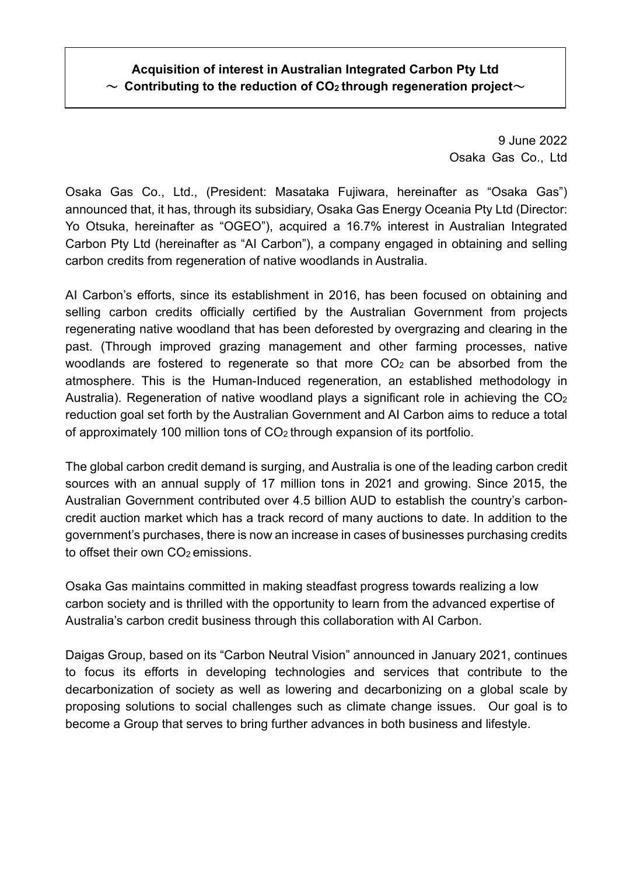## **Acquisition of interest in Australian Integrated Carbon Pty Ltd**  $\sim$  Contributing to the reduction of CO<sub>2</sub> through regeneration project $\sim$

9 June 2022 Osaka Gas Co., Ltd

Osaka Gas Co., Ltd., (President: Masataka Fujiwara, hereinafter as "Osaka Gas") announced that, it has, through its subsidiary, Osaka Gas Energy Oceania Pty Ltd (Director: Yo Otsuka, hereinafter as "OGEO"), acquired a 16.7% interest in Australian Integrated Carbon Pty Ltd (hereinafter as "AI Carbon"), a company engaged in obtaining and selling carbon credits from regeneration of native woodlands in Australia.

AI Carbon's efforts, since its establishment in 2016, has been focused on obtaining and selling carbon credits officially certified by the Australian Government from projects regenerating native woodland that has been deforested by overgrazing and clearing in the past. (Through improved grazing management and other farming processes, native woodlands are fostered to regenerate so that more  $CO<sub>2</sub>$  can be absorbed from the atmosphere. This is the Human-Induced regeneration, an established methodology in Australia). Regeneration of native woodland plays a significant role in achieving the  $CO<sub>2</sub>$ reduction goal set forth by the Australian Government and AI Carbon aims to reduce a total of approximately 100 million tons of  $CO<sub>2</sub>$  through expansion of its portfolio.

The global carbon credit demand is surging, and Australia is one of the leading carbon credit sources with an annual supply of 17 million tons in 2021 and growing. Since 2015, the Australian Government contributed over 4.5 billion AUD to establish the country's carboncredit auction market which has a track record of many auctions to date. In addition to the government's purchases, there is now an increase in cases of businesses purchasing credits to offset their own CO<sub>2</sub> emissions.

Osaka Gas maintains committed in making steadfast progress towards realizing a low carbon society and is thrilled with the opportunity to learn from the advanced expertise of Australia's carbon credit business through this collaboration with AI Carbon.

Daigas Group, based on its "Carbon Neutral Vision" announced in January 2021, continues to focus its efforts in developing technologies and services that contribute to the decarbonization of society as well as lowering and decarbonizing on a global scale by proposing solutions to social challenges such as climate change issues. Our goal is to become a Group that serves to bring further advances in both business and lifestyle.